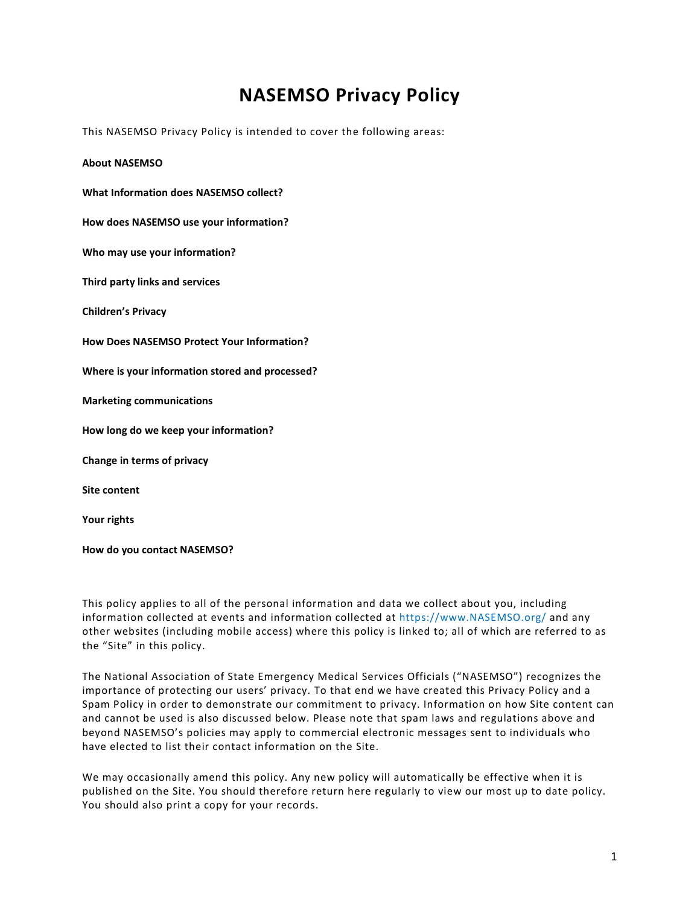# **NASEMSO Privacy Policy**

This NASEMSO Privacy Policy is intended to cover the following areas:

**[About NASEMSO](#page-1-0) [What Information does NASEMSO](#page-1-1) collect? How does NASEMSO [use your information?](#page-2-0) [Who may use your information?](#page-4-0) [Third party links and services](#page-5-0) [Children's Privacy](#page-5-1) How Does NASEMSO [Protect Your Information?](#page-5-2) [Where is your information stored and processed?](#page-6-0) [Marketing communications](#page-6-1) [How long do we keep your information?](#page-7-0) [Change in terms of privacy](#page-7-1) [Site content](#page-7-2) [Your rights](#page-7-3)**

**[How do you contact NASEMSO?](#page-8-0)**

This policy applies to all of the personal information and data we collect about you, including information collected at events and information collected at https://www.NASEMSO.org/ and any other websites (including mobile access) where this policy is linked to; all of which are referred to as the "Site" in this policy.

The National Association of State Emergency Medical Services Officials ("NASEMSO") recognizes the importance of protecting our users' privacy. To that end we have created this Privacy Policy and a Spam Policy in order to demonstrate our commitment to privacy. Information on how Site content can and cannot be used is also discussed below. Please note that spam laws and regulations above and beyond NASEMSO's policies may apply to commercial electronic messages sent to individuals who have elected to list their contact information on the Site.

We may occasionally amend this policy. Any new policy will automatically be effective when it is published on the Site. You should therefore return here regularly to view our most up to date policy. You should also print a copy for your records.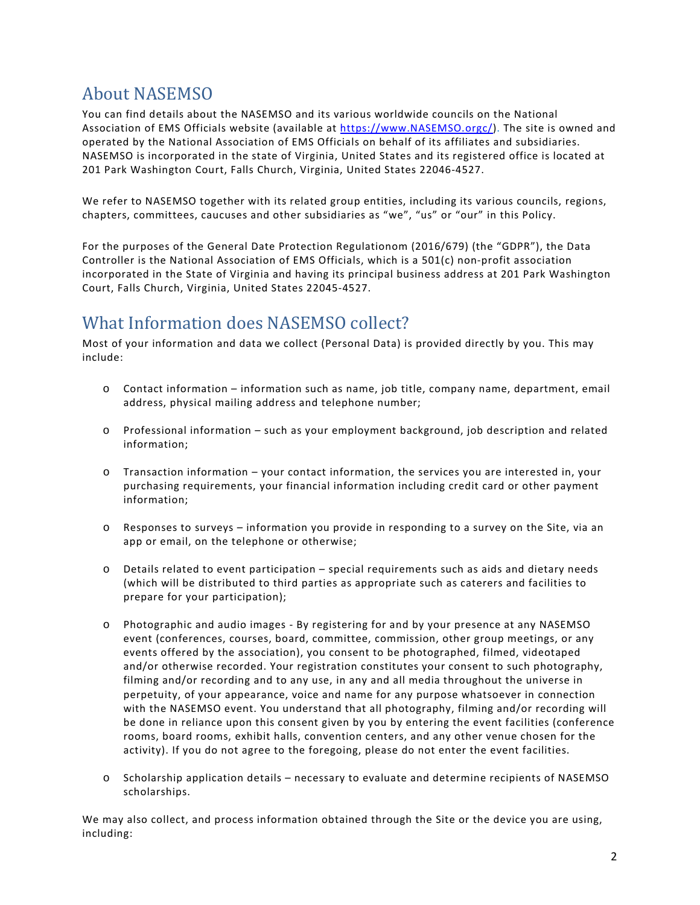# <span id="page-1-0"></span>About NASEMSO

You can find details about the NASEMSO and its various worldwide councils on the National Association of EMS Officials website (available at [https://www.NASEMSO.orgc/\)](https://www.nasemso.orgc/). The site is owned and operated by the National Association of EMS Officials on behalf of its affiliates and subsidiaries. NASEMSO is incorporated in the state of Virginia, United States and its registered office is located at 201 Park Washington Court, Falls Church, Virginia, United States 22046-4527.

We refer to NASEMSO together with its related group entities, including its various councils, regions, chapters, committees, caucuses and other subsidiaries as "we", "us" or "our" in this Policy.

For the purposes of the General Date Protection Regulationom (2016/679) (the "GDPR"), the Data Controller is the National Association of EMS Officials, which is a 501(c) non-profit association incorporated in the State of Virginia and having its principal business address at 201 Park Washington Court, Falls Church, Virginia, United States 22045-4527.

## <span id="page-1-1"></span>What Information does NASEMSO collect?

Most of your information and data we collect (Personal Data) is provided directly by you. This may include:

- o Contact information information such as name, job title, company name, department, email address, physical mailing address and telephone number;
- o Professional information such as your employment background, job description and related information;
- o Transaction information your contact information, the services you are interested in, your purchasing requirements, your financial information including credit card or other payment information;
- o Responses to surveys information you provide in responding to a survey on the Site, via an app or email, on the telephone or otherwise;
- o Details related to event participation special requirements such as aids and dietary needs (which will be distributed to third parties as appropriate such as caterers and facilities to prepare for your participation);
- o Photographic and audio images By registering for and by your presence at any NASEMSO event (conferences, courses, board, committee, commission, other group meetings, or any events offered by the association), you consent to be photographed, filmed, videotaped and/or otherwise recorded. Your registration constitutes your consent to such photography, filming and/or recording and to any use, in any and all media throughout the universe in perpetuity, of your appearance, voice and name for any purpose whatsoever in connection with the NASEMSO event. You understand that all photography, filming and/or recording will be done in reliance upon this consent given by you by entering the event facilities (conference rooms, board rooms, exhibit halls, convention centers, and any other venue chosen for the activity). If you do not agree to the foregoing, please do not enter the event facilities.
- o Scholarship application details necessary to evaluate and determine recipients of NASEMSO scholarships.

We may also collect, and process information obtained through the Site or the device you are using, including: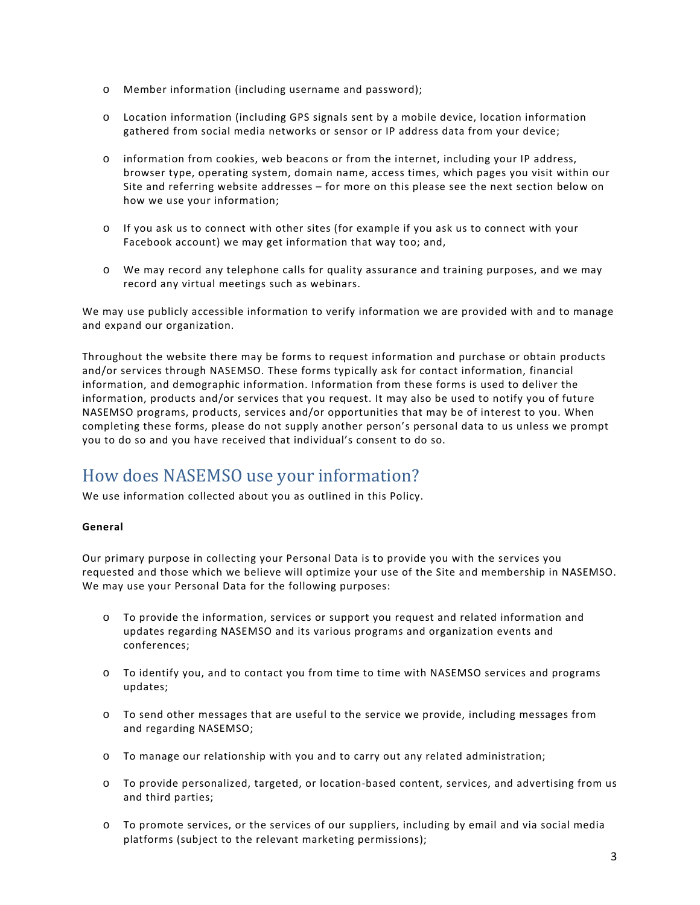- o Member information (including username and password);
- o Location information (including GPS signals sent by a mobile device, location information gathered from social media networks or sensor or IP address data from your device;
- o information from cookies, web beacons or from the internet, including your IP address, browser type, operating system, domain name, access times, which pages you visit within our Site and referring website addresses – for more on this please see the next section below on how we use your information;
- o If you ask us to connect with other sites (for example if you ask us to connect with your Facebook account) we may get information that way too; and,
- o We may record any telephone calls for quality assurance and training purposes, and we may record any virtual meetings such as webinars.

We may use publicly accessible information to verify information we are provided with and to manage and expand our organization.

Throughout the website there may be forms to request information and purchase or obtain products and/or services through NASEMSO. These forms typically ask for contact information, financial information, and demographic information. Information from these forms is used to deliver the information, products and/or services that you request. It may also be used to notify you of future NASEMSO programs, products, services and/or opportunities that may be of interest to you. When completing these forms, please do not supply another person's personal data to us unless we prompt you to do so and you have received that individual's consent to do so.

## <span id="page-2-0"></span>How does NASEMSO use your information?

We use information collected about you as outlined in this Policy.

#### **General**

Our primary purpose in collecting your Personal Data is to provide you with the services you requested and those which we believe will optimize your use of the Site and membership in NASEMSO. We may use your Personal Data for the following purposes:

- o To provide the information, services or support you request and related information and updates regarding NASEMSO and its various programs and organization events and conferences;
- o To identify you, and to contact you from time to time with NASEMSO services and programs updates;
- o To send other messages that are useful to the service we provide, including messages from and regarding NASEMSO;
- o To manage our relationship with you and to carry out any related administration;
- o To provide personalized, targeted, or location-based content, services, and advertising from us and third parties;
- o To promote services, or the services of our suppliers, including by email and via social media platforms (subject to the relevant marketing permissions);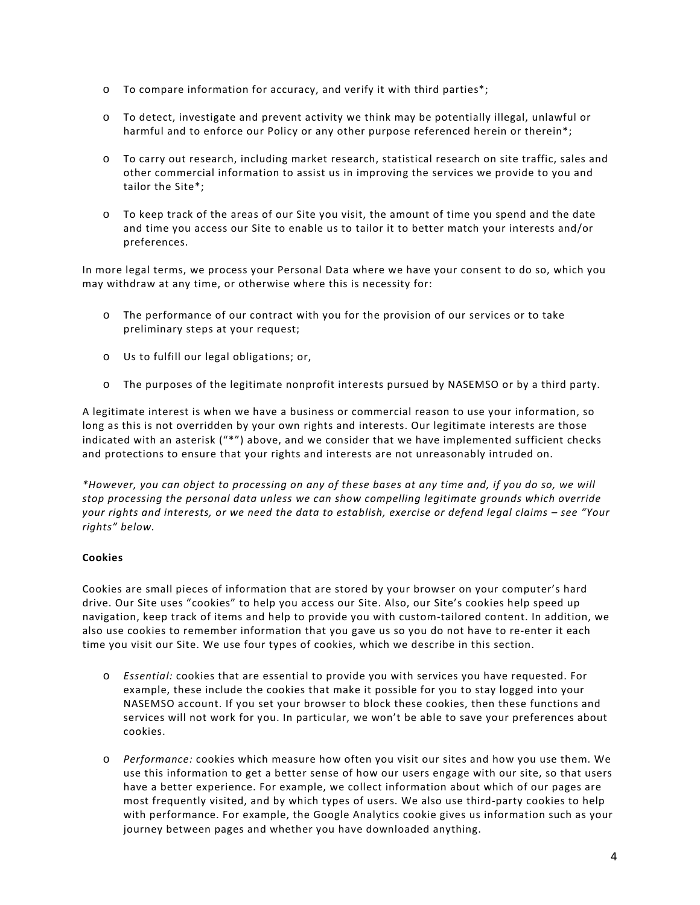- $\circ$  To compare information for accuracy, and verify it with third parties\*;
- o To detect, investigate and prevent activity we think may be potentially illegal, unlawful or harmful and to enforce our Policy or any other purpose referenced herein or therein\*;
- o To carry out research, including market research, statistical research on site traffic, sales and other commercial information to assist us in improving the services we provide to you and tailor the Site\*;
- o To keep track of the areas of our Site you visit, the amount of time you spend and the date and time you access our Site to enable us to tailor it to better match your interests and/or preferences.

In more legal terms, we process your Personal Data where we have your consent to do so, which you may withdraw at any time, or otherwise where this is necessity for:

- o The performance of our contract with you for the provision of our services or to take preliminary steps at your request;
- o Us to fulfill our legal obligations; or,
- o The purposes of the legitimate nonprofit interests pursued by NASEMSO or by a third party.

A legitimate interest is when we have a business or commercial reason to use your information, so long as this is not overridden by your own rights and interests. Our legitimate interests are those indicated with an asterisk ("\*") above, and we consider that we have implemented sufficient checks and protections to ensure that your rights and interests are not unreasonably intruded on.

*\*However, you can object to processing on any of these bases at any time and, if you do so, we will stop processing the personal data unless we can show compelling legitimate grounds which override your rights and interests, or we need the data to establish, exercise or defend legal claims – see "Your rights" below.*

#### **Cookies**

Cookies are small pieces of information that are stored by your browser on your computer's hard drive. Our Site uses "cookies" to help you access our Site. Also, our Site's cookies help speed up navigation, keep track of items and help to provide you with custom-tailored content. In addition, we also use cookies to remember information that you gave us so you do not have to re-enter it each time you visit our Site. We use four types of cookies, which we describe in this section.

- o *Essential:* cookies that are essential to provide you with services you have requested. For example, these include the cookies that make it possible for you to stay logged into your NASEMSO account. If you set your browser to block these cookies, then these functions and services will not work for you. In particular, we won't be able to save your preferences about cookies.
- o *Performance:* cookies which measure how often you visit our sites and how you use them. We use this information to get a better sense of how our users engage with our site, so that users have a better experience. For example, we collect information about which of our pages are most frequently visited, and by which types of users. We also use third-party cookies to help with performance. For example, the Google Analytics cookie gives us information such as your journey between pages and whether you have downloaded anything.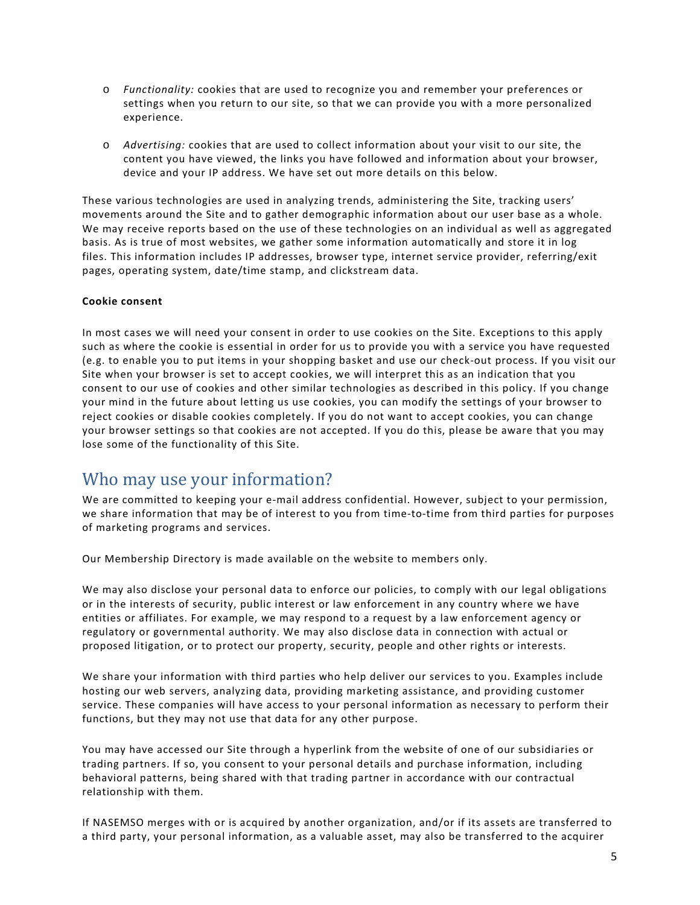- o *Functionality:* cookies that are used to recognize you and remember your preferences or settings when you return to our site, so that we can provide you with a more personalized experience.
- o *Advertising:* cookies that are used to collect information about your visit to our site, the content you have viewed, the links you have followed and information about your browser, device and your IP address. We have set out more details on this below.

These various technologies are used in analyzing trends, administering the Site, tracking users' movements around the Site and to gather demographic information about our user base as a whole. We may receive reports based on the use of these technologies on an individual as well as aggregated basis. As is true of most websites, we gather some information automatically and store it in log files. This information includes IP addresses, browser type, internet service provider, referring/exit pages, operating system, date/time stamp, and clickstream data.

#### **Cookie consent**

In most cases we will need your consent in order to use cookies on the Site. Exceptions to this apply such as where the cookie is essential in order for us to provide you with a service you have requested (e.g. to enable you to put items in your shopping basket and use our check-out process. If you visit our Site when your browser is set to accept cookies, we will interpret this as an indication that you consent to our use of cookies and other similar technologies as described in this policy. If you change your mind in the future about letting us use cookies, you can modify the settings of your browser to reject cookies or disable cookies completely. If you do not want to accept cookies, you can change your browser settings so that cookies are not accepted. If you do this, please be aware that you may lose some of the functionality of this Site.

### <span id="page-4-0"></span>Who may use your information?

We are committed to keeping your e-mail address confidential. However, subject to your permission, we share information that may be of interest to you from time-to-time from third parties for purposes of marketing programs and services.

Our Membership Directory is made available on the website to members only.

We may also disclose your personal data to enforce our policies, to comply with our legal obligations or in the interests of security, public interest or law enforcement in any country where we have entities or affiliates. For example, we may respond to a request by a law enforcement agency or regulatory or governmental authority. We may also disclose data in connection with actual or proposed litigation, or to protect our property, security, people and other rights or interests.

We share your information with third parties who help deliver our services to you. Examples include hosting our web servers, analyzing data, providing marketing assistance, and providing customer service. These companies will have access to your personal information as necessary to perform their functions, but they may not use that data for any other purpose.

You may have accessed our Site through a hyperlink from the website of one of our subsidiaries or trading partners. If so, you consent to your personal details and purchase information, including behavioral patterns, being shared with that trading partner in accordance with our contractual relationship with them.

If NASEMSO merges with or is acquired by another organization, and/or if its assets are transferred to a third party, your personal information, as a valuable asset, may also be transferred to the acquirer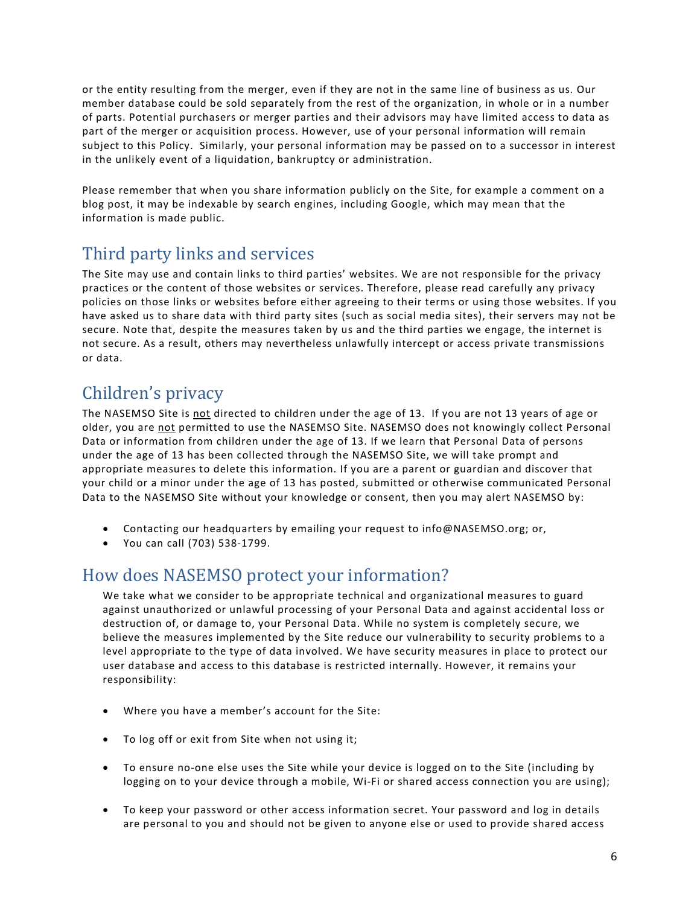or the entity resulting from the merger, even if they are not in the same line of business as us. Our member database could be sold separately from the rest of the organization, in whole or in a number of parts. Potential purchasers or merger parties and their advisors may have limited access to data as part of the merger or acquisition process. However, use of your personal information will remain subject to this Policy. Similarly, your personal information may be passed on to a successor in interest in the unlikely event of a liquidation, bankruptcy or administration.

Please remember that when you share information publicly on the Site, for example a comment on a blog post, it may be indexable by search engines, including Google, which may mean that the information is made public.

# <span id="page-5-0"></span>Third party links and services

The Site may use and contain links to third parties' websites. We are not responsible for the privacy practices or the content of those websites or services. Therefore, please read carefully any privacy policies on those links or websites before either agreeing to their terms or using those websites. If you have asked us to share data with third party sites (such as social media sites), their servers may not be secure. Note that, despite the measures taken by us and the third parties we engage, the internet is not secure. As a result, others may nevertheless unlawfully intercept or access private transmissions or data.

# <span id="page-5-1"></span>Children's privacy

The NASEMSO Site is not directed to children under the age of 13. If you are not 13 years of age or older, you are not permitted to use the NASEMSO Site. NASEMSO does not knowingly collect Personal Data or information from children under the age of 13. If we learn that Personal Data of persons under the age of 13 has been collected through the NASEMSO Site, we will take prompt and appropriate measures to delete this information. If you are a parent or guardian and discover that your child or a minor under the age of 13 has posted, submitted or otherwise communicated Personal Data to the NASEMSO Site without your knowledge or consent, then you may alert NASEMSO by:

- Contacting our headquarters by emailing your request to info@NASEMSO.org; or,
- You can call (703) 538-1799.

## <span id="page-5-2"></span>How does NASEMSO protect your information?

We take what we consider to be appropriate technical and organizational measures to guard against unauthorized or unlawful processing of your Personal Data and against accidental loss or destruction of, or damage to, your Personal Data. While no system is completely secure, we believe the measures implemented by the Site reduce our vulnerability to security problems to a level appropriate to the type of data involved. We have security measures in place to protect our user database and access to this database is restricted internally. However, it remains your responsibility:

- Where you have a member's account for the Site:
- To log off or exit from Site when not using it;
- To ensure no-one else uses the Site while your device is logged on to the Site (including by logging on to your device through a mobile, Wi-Fi or shared access connection you are using);
- To keep your password or other access information secret. Your password and log in details are personal to you and should not be given to anyone else or used to provide shared access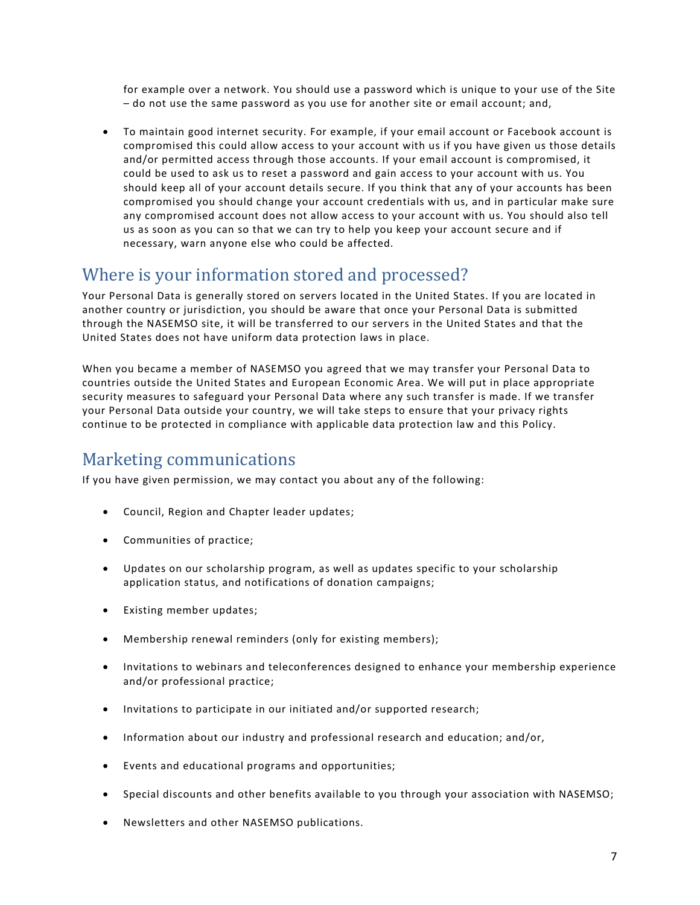for example over a network. You should use a password which is unique to your use of the Site – do not use the same password as you use for another site or email account; and,

• To maintain good internet security. For example, if your email account or Facebook account is compromised this could allow access to your account with us if you have given us those details and/or permitted access through those accounts. If your email account is compromised, it could be used to ask us to reset a password and gain access to your account with us. You should keep all of your account details secure. If you think that any of your accounts has been compromised you should change your account credentials with us, and in particular make sure any compromised account does not allow access to your account with us. You should also tell us as soon as you can so that we can try to help you keep your account secure and if necessary, warn anyone else who could be affected.

### <span id="page-6-0"></span>Where is your information stored and processed?

Your Personal Data is generally stored on servers located in the United States. If you are located in another country or jurisdiction, you should be aware that once your Personal Data is submitted through the NASEMSO site, it will be transferred to our servers in the United States and that the United States does not have uniform data protection laws in place.

When you became a member of NASEMSO you agreed that we may transfer your Personal Data to countries outside the United States and European Economic Area. We will put in place appropriate security measures to safeguard your Personal Data where any such transfer is made. If we transfer your Personal Data outside your country, we will take steps to ensure that your privacy rights continue to be protected in compliance with applicable data protection law and this Policy.

### <span id="page-6-1"></span>Marketing communications

If you have given permission, we may contact you about any of the following:

- Council, Region and Chapter leader updates;
- Communities of practice;
- Updates on our scholarship program, as well as updates specific to your scholarship application status, and notifications of donation campaigns;
- Existing member updates;
- Membership renewal reminders (only for existing members);
- Invitations to webinars and teleconferences designed to enhance your membership experience and/or professional practice;
- Invitations to participate in our initiated and/or supported research;
- Information about our industry and professional research and education; and/or,
- Events and educational programs and opportunities;
- Special discounts and other benefits available to you through your association with NASEMSO;
- Newsletters and other NASEMSO publications.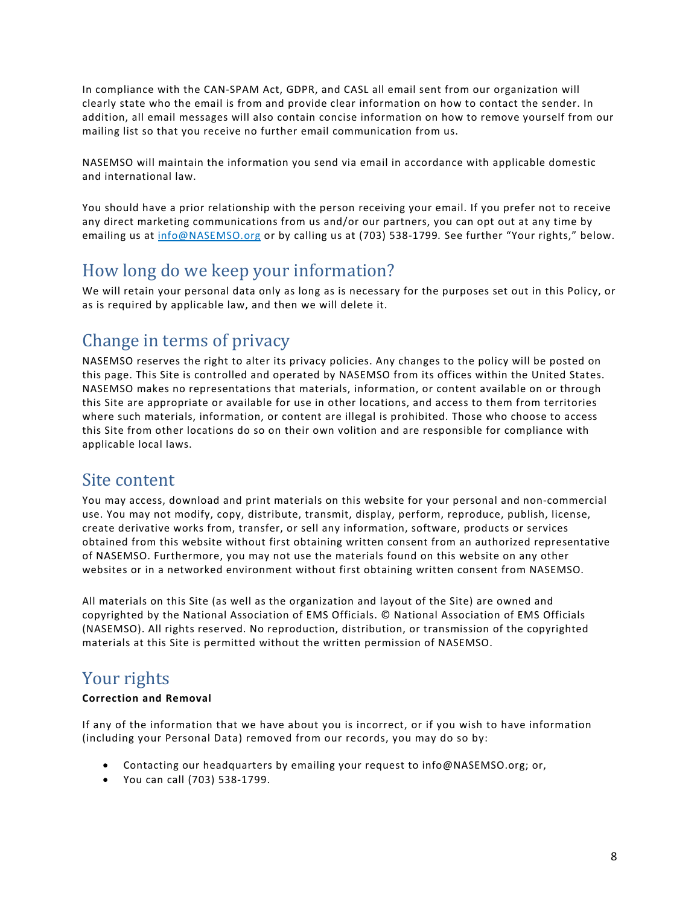In compliance with the CAN-SPAM Act, GDPR, and CASL all email sent from our organization will clearly state who the email is from and provide clear information on how to contact the sender. In addition, all email messages will also contain concise information on how to remove yourself from our mailing list so that you receive no further email communication from us.

NASEMSO will maintain the information you send via email in accordance with applicable domestic and international law.

You should have a prior relationship with the person receiving your email. If you prefer not to receive any direct marketing communications from us and/or our partners, you can opt out at any time by emailing us at [info@NASEMSO.org](mailto:info@iaem.com) or by calling us at (703) 538-1799*.* See further "Your rights," below.

### <span id="page-7-0"></span>How long do we keep your information?

We will retain your personal data only as long as is necessary for the purposes set out in this Policy, or as is required by applicable law, and then we will delete it.

### <span id="page-7-1"></span>Change in terms of privacy

NASEMSO reserves the right to alter its privacy policies. Any changes to the policy will be posted on this page. This Site is controlled and operated by NASEMSO from its offices within the United States. NASEMSO makes no representations that materials, information, or content available on or through this Site are appropriate or available for use in other locations, and access to them from territories where such materials, information, or content are illegal is prohibited. Those who choose to access this Site from other locations do so on their own volition and are responsible for compliance with applicable local laws.

### <span id="page-7-2"></span>Site content

You may access, download and print materials on this website for your personal and non-commercial use. You may not modify, copy, distribute, transmit, display, perform, reproduce, publish, license, create derivative works from, transfer, or sell any information, software, products or services obtained from this website without first obtaining written consent from an authorized representative of NASEMSO. Furthermore, you may not use the materials found on this website on any other websites or in a networked environment without first obtaining written consent from NASEMSO.

All materials on this Site (as well as the organization and layout of the Site) are owned and copyrighted by the National Association of EMS Officials. © National Association of EMS Officials (NASEMSO). All rights reserved. No reproduction, distribution, or transmission of the copyrighted materials at this Site is permitted without the written permission of NASEMSO.

## <span id="page-7-3"></span>Your rights

#### **Correction and Removal**

If any of the information that we have about you is incorrect, or if you wish to have information (including your Personal Data) removed from our records, you may do so by:

- Contacting our headquarters by emailing your request to info@NASEMSO.org; or,
- You can call (703) 538-1799.